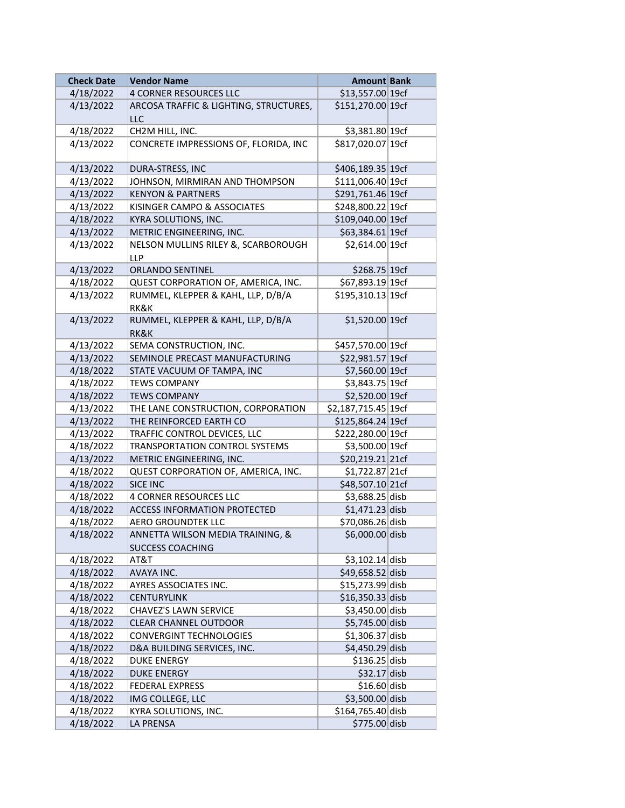| <b>Check Date</b> | <b>Vendor Name</b>                                | <b>Amount Bank</b>  |  |
|-------------------|---------------------------------------------------|---------------------|--|
| 4/18/2022         | <b>4 CORNER RESOURCES LLC</b>                     | \$13,557.00 19cf    |  |
| 4/13/2022         | ARCOSA TRAFFIC & LIGHTING, STRUCTURES,            | \$151,270.00 19cf   |  |
|                   | <b>LLC</b>                                        |                     |  |
| 4/18/2022         | CH2M HILL, INC.                                   | \$3,381.80 19cf     |  |
| 4/13/2022         | CONCRETE IMPRESSIONS OF, FLORIDA, INC             | \$817,020.07 19cf   |  |
| 4/13/2022         | DURA-STRESS, INC                                  | \$406,189.35 19cf   |  |
| 4/13/2022         | JOHNSON, MIRMIRAN AND THOMPSON                    | \$111,006.40 19cf   |  |
| 4/13/2022         | <b>KENYON &amp; PARTNERS</b>                      | \$291,761.46 19cf   |  |
| 4/13/2022         | KISINGER CAMPO & ASSOCIATES                       | \$248,800.22 19cf   |  |
| 4/18/2022         | KYRA SOLUTIONS, INC.                              | \$109,040.00 19cf   |  |
| 4/13/2022         | METRIC ENGINEERING, INC.                          | \$63,384.61 19cf    |  |
| 4/13/2022         | NELSON MULLINS RILEY &, SCARBOROUGH<br><b>LLP</b> | \$2,614.00 19cf     |  |
| 4/13/2022         | <b>ORLANDO SENTINEL</b>                           | \$268.75 19cf       |  |
| 4/18/2022         | QUEST CORPORATION OF, AMERICA, INC.               | \$67,893.19 19cf    |  |
| 4/13/2022         | RUMMEL, KLEPPER & KAHL, LLP, D/B/A                | \$195,310.13 19cf   |  |
|                   | RK&K                                              |                     |  |
| 4/13/2022         | RUMMEL, KLEPPER & KAHL, LLP, D/B/A                | \$1,520.00 19cf     |  |
|                   | RK&K                                              |                     |  |
| 4/13/2022         | SEMA CONSTRUCTION, INC.                           | \$457,570.00 19cf   |  |
| 4/13/2022         | SEMINOLE PRECAST MANUFACTURING                    | \$22,981.57 19cf    |  |
| 4/18/2022         | STATE VACUUM OF TAMPA, INC                        | \$7,560.00 19cf     |  |
| 4/18/2022         | <b>TEWS COMPANY</b>                               | \$3,843.75 19cf     |  |
| 4/18/2022         | <b>TEWS COMPANY</b>                               | \$2,520.00 19cf     |  |
| 4/13/2022         | THE LANE CONSTRUCTION, CORPORATION                | \$2,187,715.45 19cf |  |
| 4/13/2022         | THE REINFORCED EARTH CO                           | \$125,864.24 19cf   |  |
| 4/13/2022         | TRAFFIC CONTROL DEVICES, LLC                      | \$222,280.00 19cf   |  |
| 4/18/2022         | TRANSPORTATION CONTROL SYSTEMS                    | \$3,500.00 19cf     |  |
| 4/13/2022         | METRIC ENGINEERING, INC.                          | \$20,219.21 21cf    |  |
| 4/18/2022         | QUEST CORPORATION OF, AMERICA, INC.               | \$1,722.87 21cf     |  |
| 4/18/2022         | <b>SICE INC</b>                                   | \$48,507.10 21cf    |  |
| 4/18/2022         | <b>4 CORNER RESOURCES LLC</b>                     | $$3,688.25$ disb    |  |
| 4/18/2022         | ACCESS INFORMATION PROTECTED                      | $$1,471.23$ disb    |  |
| 4/18/2022         | <b>AERO GROUNDTEK LLC</b>                         | \$70,086.26 disb    |  |
| 4/18/2022         | ANNETTA WILSON MEDIA TRAINING, &                  | \$6,000.00 disb     |  |
|                   | <b>SUCCESS COACHING</b>                           |                     |  |
| 4/18/2022         | AT&T                                              | $$3,102.14$ disb    |  |
| 4/18/2022         | AVAYA INC.                                        | \$49,658.52 disb    |  |
| 4/18/2022         | AYRES ASSOCIATES INC.                             | \$15,273.99 disb    |  |
| 4/18/2022         | <b>CENTURYLINK</b>                                | $$16,350.33$ disb   |  |
| 4/18/2022         | CHAVEZ'S LAWN SERVICE                             | \$3,450.00 disb     |  |
| 4/18/2022         | <b>CLEAR CHANNEL OUTDOOR</b>                      | $$5,745.00$ disb    |  |
| 4/18/2022         | <b>CONVERGINT TECHNOLOGIES</b>                    | \$1,306.37 disb     |  |
| 4/18/2022         | D&A BUILDING SERVICES, INC.                       | \$4,450.29 disb     |  |
| 4/18/2022         | <b>DUKE ENERGY</b>                                | $$136.25$ disb      |  |
| 4/18/2022         | DUKE ENERGY                                       | $$32.17$ disb       |  |
| 4/18/2022         | FEDERAL EXPRESS                                   | $$16.60$ disb       |  |
| 4/18/2022         | IMG COLLEGE, LLC                                  | $$3,500.00$ disb    |  |
| 4/18/2022         | KYRA SOLUTIONS, INC.                              | \$164,765.40 disb   |  |
| 4/18/2022         | LA PRENSA                                         | \$775.00 disb       |  |